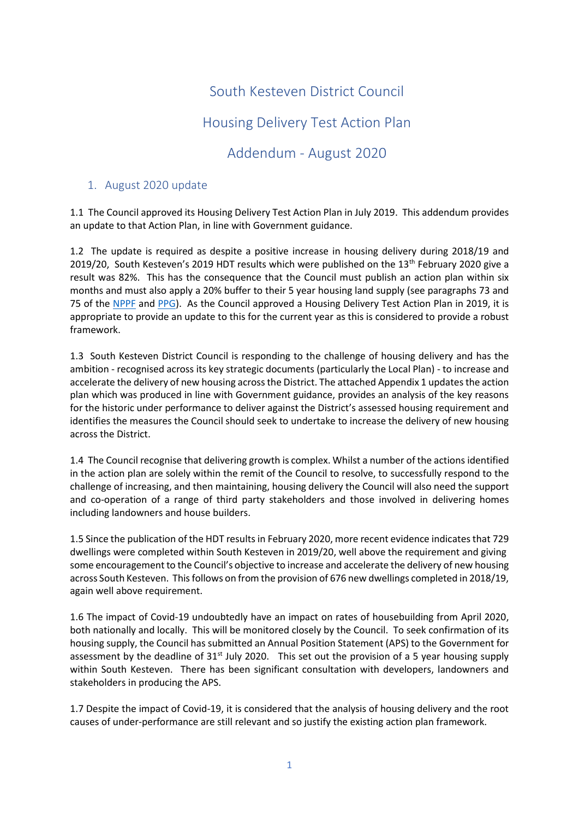## South Kesteven District Council Housing Delivery Test Action Plan Addendum - August 2020

## 1. August 2020 update

1.1 The Council approved its Housing Delivery Test Action Plan in July 2019. This addendum provides an update to that Action Plan, in line with Government guidance.

1.2 The update is required as despite a positive increase in housing delivery during 2018/19 and 2019/20, South Kesteven's 2019 HDT results which were published on the 13<sup>th</sup> February 2020 give a result was 82%. This has the consequence that the Council must publish an action plan within six months and must also apply a 20% buffer to their 5 year housing land supply (see paragraphs 73 and 75 of the [NPPF](https://eur01.safelinks.protection.outlook.com/?url=https%3A%2F%2Fassets.publishing.service.gov.uk%2Fgovernment%2Fuploads%2Fsystem%2Fuploads%2Fattachment_data%2Ffile%2F810197%2FNPPF_Feb_2019_revised.pdf&data=02%7C01%7CRRanson%40rutland.gov.uk%7C6eb4235c183d46a7530008d823f96894%7C60a080bbbc0f4d9399c183748e10674d%7C1%7C0%7C637298901391388154&sdata=w2hYvLVqtfg0fmZpQgGWeMDApsslTf9CAqnthr%2BVC30%3D&reserved=0) and [PPG\)](https://eur01.safelinks.protection.outlook.com/?url=https%3A%2F%2Fwww.gov.uk%2Fguidance%2Fhousing-supply-and-delivery&data=02%7C01%7CRRanson%40rutland.gov.uk%7C6eb4235c183d46a7530008d823f96894%7C60a080bbbc0f4d9399c183748e10674d%7C1%7C0%7C637298901391388154&sdata=62ZGMCQaxgFokWJtcHNK1fHFhF9tiQgArhTH2I2KdpI%3D&reserved=0). As the Council approved a Housing Delivery Test Action Plan in 2019, it is appropriate to provide an update to this for the current year as this is considered to provide a robust framework.

1.3 South Kesteven District Council is responding to the challenge of housing delivery and has the ambition - recognised across its key strategic documents (particularly the Local Plan) - to increase and accelerate the delivery of new housing across the District. The attached Appendix 1 updates the action plan which was produced in line with Government guidance, provides an analysis of the key reasons for the historic under performance to deliver against the District's assessed housing requirement and identifies the measures the Council should seek to undertake to increase the delivery of new housing across the District.

1.4 The Council recognise that delivering growth is complex. Whilst a number of the actions identified in the action plan are solely within the remit of the Council to resolve, to successfully respond to the challenge of increasing, and then maintaining, housing delivery the Council will also need the support and co-operation of a range of third party stakeholders and those involved in delivering homes including landowners and house builders.

1.5 Since the publication of the HDT results in February 2020, more recent evidence indicates that 729 dwellings were completed within South Kesteven in 2019/20, well above the requirement and giving some encouragement to the Council's objective to increase and accelerate the delivery of new housing across South Kesteven. This follows on from the provision of 676 new dwellings completed in 2018/19, again well above requirement.

1.6 The impact of Covid-19 undoubtedly have an impact on rates of housebuilding from April 2020, both nationally and locally. This will be monitored closely by the Council. To seek confirmation of its housing supply, the Council has submitted an Annual Position Statement (APS) to the Government for assessment by the deadline of 31<sup>st</sup> July 2020. This set out the provision of a 5 year housing supply within South Kesteven. There has been significant consultation with developers, landowners and stakeholders in producing the APS.

1.7 Despite the impact of Covid-19, it is considered that the analysis of housing delivery and the root causes of under-performance are still relevant and so justify the existing action plan framework.